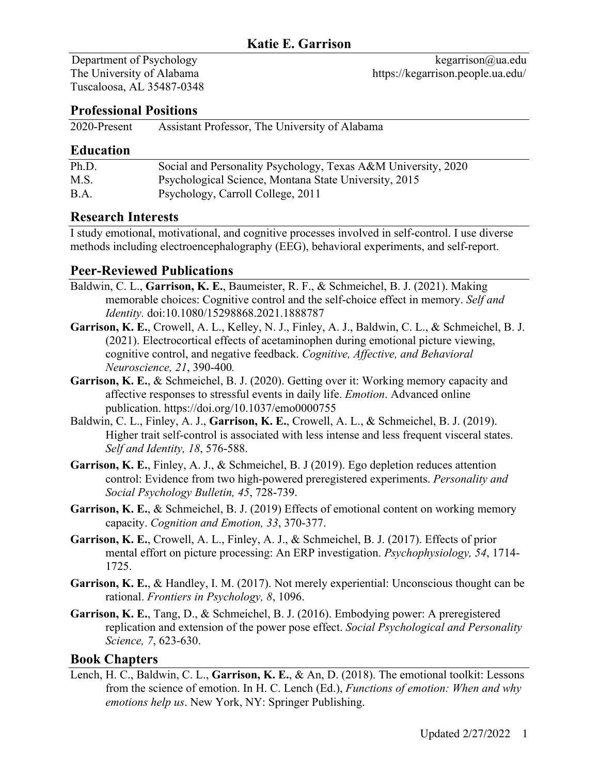Tuscaloosa, AL 35487-0348

### **Professional Positions**

2020-Present Assistant Professor, The University of Alabama

### **Education**

| Ph.D. | Social and Personality Psychology, Texas A&M University, 2020 |
|-------|---------------------------------------------------------------|
| M.S.  | Psychological Science, Montana State University, 2015         |
| B.A.  | Psychology, Carroll College, 2011                             |

## **Research Interests**

I study emotional, motivational, and cognitive processes involved in self-control. I use diverse methods including electroencephalography (EEG), behavioral experiments, and self-report.

## **Peer-Reviewed Publications**

- Baldwin, C. L., **Garrison, K. E.**, Baumeister, R. F., & Schmeichel, B. J. (2021). Making memorable choices: Cognitive control and the self-choice effect in memory. *Self and Identity.* doi:10.1080/15298868.2021.1888787
- **Garrison, K. E.**, Crowell, A. L., Kelley, N. J., Finley, A. J., Baldwin, C. L., & Schmeichel, B. J. (2021). Electrocortical effects of acetaminophen during emotional picture viewing, cognitive control, and negative feedback. *Cognitive, Affective, and Behavioral Neuroscience, 21*, 390-400*.*
- **Garrison, K. E.**, & Schmeichel, B. J. (2020). Getting over it: Working memory capacity and affective responses to stressful events in daily life. *Emotion*. Advanced online publication. https://doi.org/10.1037/emo0000755
- Baldwin, C. L., Finley, A. J., **Garrison, K. E.**, Crowell, A. L., & Schmeichel, B. J. (2019). Higher trait self-control is associated with less intense and less frequent visceral states. *Self and Identity, 18*, 576-588.
- **Garrison, K. E.**, Finley, A. J., & Schmeichel, B. J (2019). Ego depletion reduces attention control: Evidence from two high-powered preregistered experiments. *Personality and Social Psychology Bulletin, 45*, 728-739.
- **Garrison, K. E.**, & Schmeichel, B. J. (2019) Effects of emotional content on working memory capacity. *Cognition and Emotion, 33*, 370-377.
- **Garrison, K. E.**, Crowell, A. L., Finley, A. J., & Schmeichel, B. J. (2017). Effects of prior mental effort on picture processing: An ERP investigation. *Psychophysiology, 54*, 1714- 1725.
- **Garrison, K. E.**, & Handley, I. M. (2017). Not merely experiential: Unconscious thought can be rational. *Frontiers in Psychology, 8*, 1096.
- **Garrison, K. E.**, Tang, D., & Schmeichel, B. J. (2016). Embodying power: A preregistered replication and extension of the power pose effect. *Social Psychological and Personality Science, 7*, 623-630.

### **Book Chapters**

Lench, H. C., Baldwin, C. L., **Garrison, K. E.**, & An, D. (2018). The emotional toolkit: Lessons from the science of emotion. In H. C. Lench (Ed.), *Functions of emotion: When and why emotions help us*. New York, NY: Springer Publishing.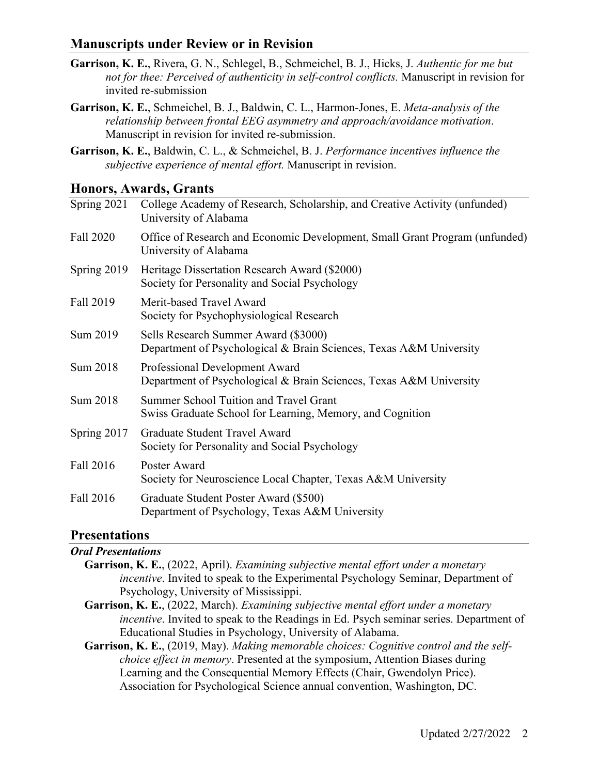### **Manuscripts under Review or in Revision**

- **Garrison, K. E.**, Rivera, G. N., Schlegel, B., Schmeichel, B. J., Hicks, J. *Authentic for me but not for thee: Perceived of authenticity in self-control conflicts.* Manuscript in revision for invited re-submission
- **Garrison, K. E.**, Schmeichel, B. J., Baldwin, C. L., Harmon-Jones, E. *Meta-analysis of the relationship between frontal EEG asymmetry and approach/avoidance motivation*. Manuscript in revision for invited re-submission.
- **Garrison, K. E.**, Baldwin, C. L., & Schmeichel, B. J. *Performance incentives influence the subjective experience of mental effort.* Manuscript in revision.

### **Honors, Awards, Grants**

| Spring 2021 | College Academy of Research, Scholarship, and Creative Activity (unfunded)<br>University of Alabama        |
|-------------|------------------------------------------------------------------------------------------------------------|
| Fall 2020   | Office of Research and Economic Development, Small Grant Program (unfunded)<br>University of Alabama       |
| Spring 2019 | Heritage Dissertation Research Award (\$2000)<br>Society for Personality and Social Psychology             |
| Fall 2019   | Merit-based Travel Award<br>Society for Psychophysiological Research                                       |
| Sum 2019    | Sells Research Summer Award (\$3000)<br>Department of Psychological & Brain Sciences, Texas A&M University |
| Sum 2018    | Professional Development Award<br>Department of Psychological & Brain Sciences, Texas A&M University       |
| Sum 2018    | Summer School Tuition and Travel Grant<br>Swiss Graduate School for Learning, Memory, and Cognition        |
| Spring 2017 | Graduate Student Travel Award<br>Society for Personality and Social Psychology                             |
| Fall 2016   | Poster Award<br>Society for Neuroscience Local Chapter, Texas A&M University                               |
| Fall 2016   | Graduate Student Poster Award (\$500)<br>Department of Psychology, Texas A&M University                    |

### **Presentations**

#### *Oral Presentations*

| <b>Garrison, K. E., (2022, April).</b> Examining subjective mental effort under a monetary     |
|------------------------------------------------------------------------------------------------|
| <i>incentive</i> . Invited to speak to the Experimental Psychology Seminar, Department of      |
| Psychology, University of Mississippi.                                                         |
| Garrison, K. E., (2022, March). Examining subjective mental effort under a monetary            |
| <i>incentive</i> . Invited to speak to the Readings in Ed. Psych seminar series. Department of |
| Educational Studies in Psychology, University of Alabama.                                      |

**Garrison, K. E.**, (2019, May). *Making memorable choices: Cognitive control and the selfchoice effect in memory*. Presented at the symposium, Attention Biases during Learning and the Consequential Memory Effects (Chair, Gwendolyn Price). Association for Psychological Science annual convention, Washington, DC.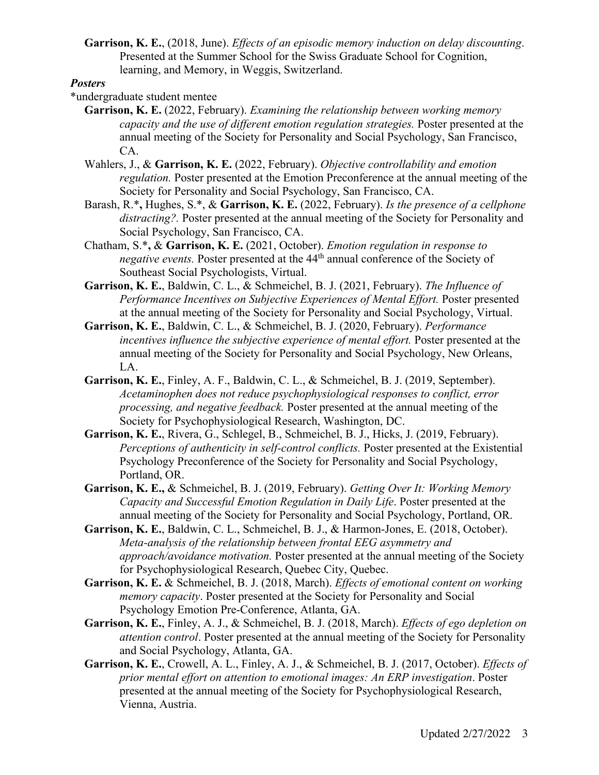**Garrison, K. E.**, (2018, June). *Effects of an episodic memory induction on delay discounting*. Presented at the Summer School for the Swiss Graduate School for Cognition, learning, and Memory, in Weggis, Switzerland.

#### *Posters*

- \*undergraduate student mentee
	- **Garrison, K. E.** (2022, February). *Examining the relationship between working memory capacity and the use of different emotion regulation strategies.* Poster presented at the annual meeting of the Society for Personality and Social Psychology, San Francisco, CA.
	- Wahlers, J., & **Garrison, K. E.** (2022, February). *Objective controllability and emotion regulation.* Poster presented at the Emotion Preconference at the annual meeting of the Society for Personality and Social Psychology, San Francisco, CA.
	- Barash, R.\***,** Hughes, S.\*, & **Garrison, K. E.** (2022, February). *Is the presence of a cellphone distracting?.* Poster presented at the annual meeting of the Society for Personality and Social Psychology, San Francisco, CA.
	- Chatham, S.\***,** & **Garrison, K. E.** (2021, October). *Emotion regulation in response to negative events.* Poster presented at the 44th annual conference of the Society of Southeast Social Psychologists, Virtual.
	- **Garrison, K. E.**, Baldwin, C. L., & Schmeichel, B. J. (2021, February). *The Influence of Performance Incentives on Subjective Experiences of Mental Effort.* Poster presented at the annual meeting of the Society for Personality and Social Psychology, Virtual.
	- **Garrison, K. E.**, Baldwin, C. L., & Schmeichel, B. J. (2020, February). *Performance incentives influence the subjective experience of mental effort.* Poster presented at the annual meeting of the Society for Personality and Social Psychology, New Orleans, LA.
	- **Garrison, K. E.**, Finley, A. F., Baldwin, C. L., & Schmeichel, B. J. (2019, September). *Acetaminophen does not reduce psychophysiological responses to conflict, error processing, and negative feedback.* Poster presented at the annual meeting of the Society for Psychophysiological Research, Washington, DC.
	- **Garrison, K. E.**, Rivera, G., Schlegel, B., Schmeichel, B. J., Hicks, J. (2019, February). *Perceptions of authenticity in self-control conflicts.* Poster presented at the Existential Psychology Preconference of the Society for Personality and Social Psychology, Portland, OR.
	- **Garrison, K. E.,** & Schmeichel, B. J. (2019, February). *Getting Over It: Working Memory Capacity and Successful Emotion Regulation in Daily Life*. Poster presented at the annual meeting of the Society for Personality and Social Psychology, Portland, OR.
	- **Garrison, K. E.**, Baldwin, C. L., Schmeichel, B. J., & Harmon-Jones, E. (2018, October). *Meta-analysis of the relationship between frontal EEG asymmetry and approach/avoidance motivation.* Poster presented at the annual meeting of the Society for Psychophysiological Research, Quebec City, Quebec.
	- **Garrison, K. E.** & Schmeichel, B. J. (2018, March). *Effects of emotional content on working memory capacity*. Poster presented at the Society for Personality and Social Psychology Emotion Pre-Conference, Atlanta, GA.
	- **Garrison, K. E.**, Finley, A. J., & Schmeichel, B. J. (2018, March). *Effects of ego depletion on attention control*. Poster presented at the annual meeting of the Society for Personality and Social Psychology, Atlanta, GA.
	- **Garrison, K. E.**, Crowell, A. L., Finley, A. J., & Schmeichel, B. J. (2017, October). *Effects of prior mental effort on attention to emotional images: An ERP investigation*. Poster presented at the annual meeting of the Society for Psychophysiological Research, Vienna, Austria.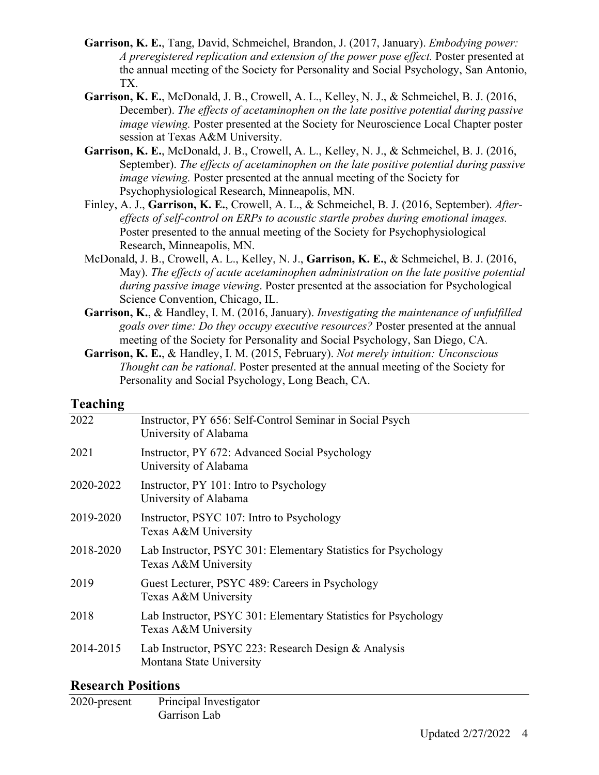- **Garrison, K. E.**, Tang, David, Schmeichel, Brandon, J. (2017, January). *Embodying power: A preregistered replication and extension of the power pose effect.* Poster presented at the annual meeting of the Society for Personality and Social Psychology, San Antonio, TX.
- **Garrison, K. E.**, McDonald, J. B., Crowell, A. L., Kelley, N. J., & Schmeichel, B. J. (2016, December). *The effects of acetaminophen on the late positive potential during passive image viewing.* Poster presented at the Society for Neuroscience Local Chapter poster session at Texas A&M University.
- **Garrison, K. E.**, McDonald, J. B., Crowell, A. L., Kelley, N. J., & Schmeichel, B. J. (2016, September). *The effects of acetaminophen on the late positive potential during passive image viewing.* Poster presented at the annual meeting of the Society for Psychophysiological Research, Minneapolis, MN.
- Finley, A. J., **Garrison, K. E.**, Crowell, A. L., & Schmeichel, B. J. (2016, September). *Aftereffects of self-control on ERPs to acoustic startle probes during emotional images.*  Poster presented to the annual meeting of the Society for Psychophysiological Research, Minneapolis, MN.
- McDonald, J. B., Crowell, A. L., Kelley, N. J., **Garrison, K. E.**, & Schmeichel, B. J. (2016, May). *The effects of acute acetaminophen administration on the late positive potential during passive image viewing*. Poster presented at the association for Psychological Science Convention, Chicago, IL.
- **Garrison, K.**, & Handley, I. M. (2016, January). *Investigating the maintenance of unfulfilled goals over time: Do they occupy executive resources?* Poster presented at the annual meeting of the Society for Personality and Social Psychology, San Diego, CA.
- **Garrison, K. E.**, & Handley, I. M. (2015, February). *Not merely intuition: Unconscious Thought can be rational*. Poster presented at the annual meeting of the Society for Personality and Social Psychology, Long Beach, CA.

### **Teaching**

| 2022      | Instructor, PY 656: Self-Control Seminar in Social Psych<br>University of Alabama      |
|-----------|----------------------------------------------------------------------------------------|
| 2021      | Instructor, PY 672: Advanced Social Psychology<br>University of Alabama                |
| 2020-2022 | Instructor, PY 101: Intro to Psychology<br>University of Alabama                       |
| 2019-2020 | Instructor, PSYC 107: Intro to Psychology<br>Texas A&M University                      |
| 2018-2020 | Lab Instructor, PSYC 301: Elementary Statistics for Psychology<br>Texas A&M University |
| 2019      | Guest Lecturer, PSYC 489: Careers in Psychology<br>Texas A&M University                |
| 2018      | Lab Instructor, PSYC 301: Elementary Statistics for Psychology<br>Texas A&M University |
| 2014-2015 | Lab Instructor, PSYC 223: Research Design & Analysis<br>Montana State University       |

# **Research Positions**

| 2020-present | Principal Investigator<br>Garrison Lab |
|--------------|----------------------------------------|
|              |                                        |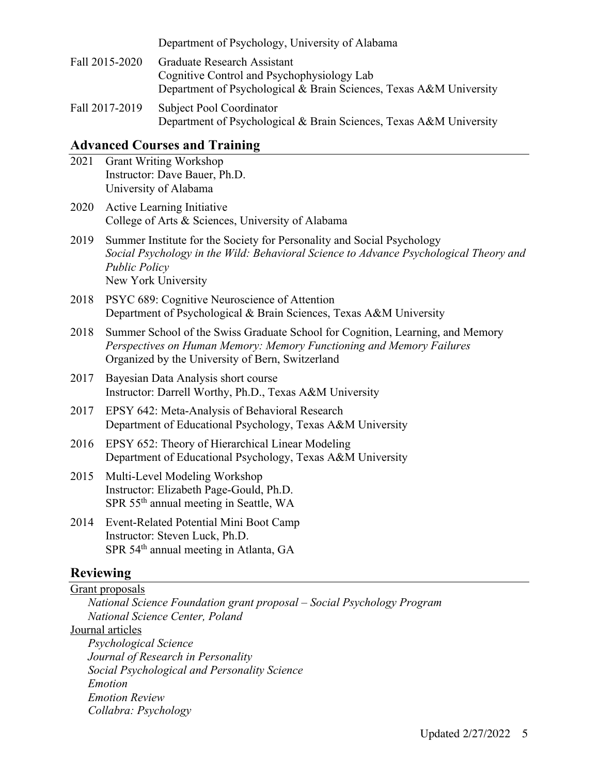Department of Psychology, University of Alabama

- Fall 2015-2020 Graduate Research Assistant Cognitive Control and Psychophysiology Lab Department of Psychological & Brain Sciences, Texas A&M University
- Fall 2017-2019 Subject Pool Coordinator Department of Psychological & Brain Sciences, Texas A&M University

## **Advanced Courses and Training**

2021 Grant Writing Workshop Instructor: Dave Bauer, Ph.D. University of Alabama 2020 Active Learning Initiative College of Arts & Sciences, University of Alabama 2019 Summer Institute for the Society for Personality and Social Psychology *Social Psychology in the Wild: Behavioral Science to Advance Psychological Theory and Public Policy* New York University 2018 PSYC 689: Cognitive Neuroscience of Attention Department of Psychological & Brain Sciences, Texas A&M University 2018 Summer School of the Swiss Graduate School for Cognition, Learning, and Memory *Perspectives on Human Memory: Memory Functioning and Memory Failures* Organized by the University of Bern, Switzerland 2017 Bayesian Data Analysis short course Instructor: Darrell Worthy, Ph.D., Texas A&M University 2017 EPSY 642: Meta-Analysis of Behavioral Research Department of Educational Psychology, Texas A&M University 2016 EPSY 652: Theory of Hierarchical Linear Modeling Department of Educational Psychology, Texas A&M University 2015 Multi-Level Modeling Workshop Instructor: Elizabeth Page-Gould, Ph.D. SPR 55th annual meeting in Seattle, WA 2014 Event-Related Potential Mini Boot Camp Instructor: Steven Luck, Ph.D. SPR 54<sup>th</sup> annual meeting in Atlanta, GA

# **Reviewing**

Grant proposals

*Emotion*

*National Science Foundation grant proposal – Social Psychology Program National Science Center, Poland* Journal articles *Psychological Science Journal of Research in Personality Social Psychological and Personality Science*

*Emotion Review Collabra: Psychology*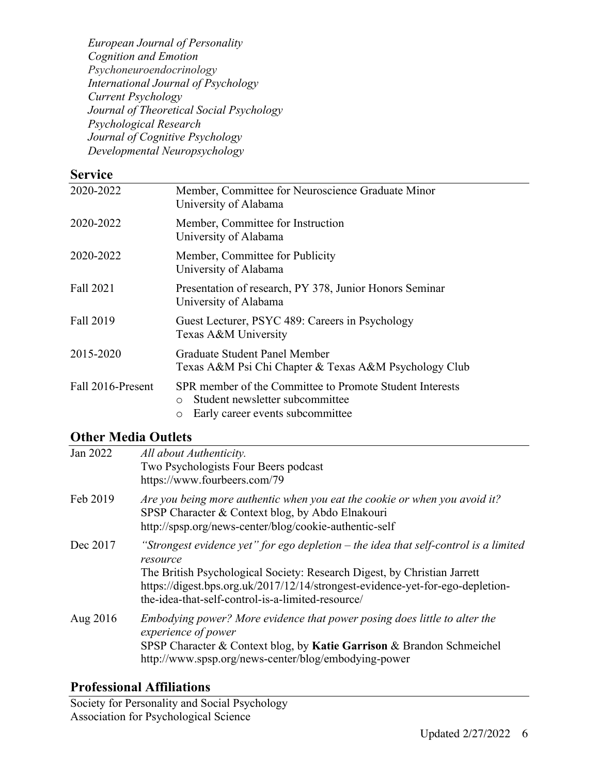*European Journal of Personality Cognition and Emotion Psychoneuroendocrinology International Journal of Psychology Current Psychology Journal of Theoretical Social Psychology Psychological Research Journal of Cognitive Psychology Developmental Neuropsychology*

## **Service**

| 2020-2022         | Member, Committee for Neuroscience Graduate Minor<br>University of Alabama                                                                               |
|-------------------|----------------------------------------------------------------------------------------------------------------------------------------------------------|
| 2020-2022         | Member, Committee for Instruction<br>University of Alabama                                                                                               |
| 2020-2022         | Member, Committee for Publicity<br>University of Alabama                                                                                                 |
| Fall 2021         | Presentation of research, PY 378, Junior Honors Seminar<br>University of Alabama                                                                         |
| Fall 2019         | Guest Lecturer, PSYC 489: Careers in Psychology<br>Texas A&M University                                                                                  |
| 2015-2020         | <b>Graduate Student Panel Member</b><br>Texas A&M Psi Chi Chapter & Texas A&M Psychology Club                                                            |
| Fall 2016-Present | SPR member of the Committee to Promote Student Interests<br>Student newsletter subcommittee<br>$\bigcirc$<br>Early career events subcommittee<br>$\circ$ |

# **Other Media Outlets**

| Jan 2022 | All about Authenticity.<br>Two Psychologists Four Beers podcast<br>https://www.fourbeers.com/79                                                                                                                                                                                                                       |
|----------|-----------------------------------------------------------------------------------------------------------------------------------------------------------------------------------------------------------------------------------------------------------------------------------------------------------------------|
| Feb 2019 | Are you being more authentic when you eat the cookie or when you avoid it?<br>SPSP Character & Context blog, by Abdo Elnakouri<br>http://spsp.org/news-center/blog/cookie-authentic-self                                                                                                                              |
| Dec 2017 | "Strongest evidence yet" for ego depletion $-$ the idea that self-control is a limited<br>resource<br>The British Psychological Society: Research Digest, by Christian Jarrett<br>https://digest.bps.org.uk/2017/12/14/strongest-evidence-yet-for-ego-depletion-<br>the-idea-that-self-control-is-a-limited-resource/ |
| Aug 2016 | Embodying power? More evidence that power posing does little to alter the<br>experience of power<br>SPSP Character & Context blog, by Katie Garrison & Brandon Schmeichel<br>http://www.spsp.org/news-center/blog/embodying-power                                                                                     |

# **Professional Affiliations**

Society for Personality and Social Psychology Association for Psychological Science